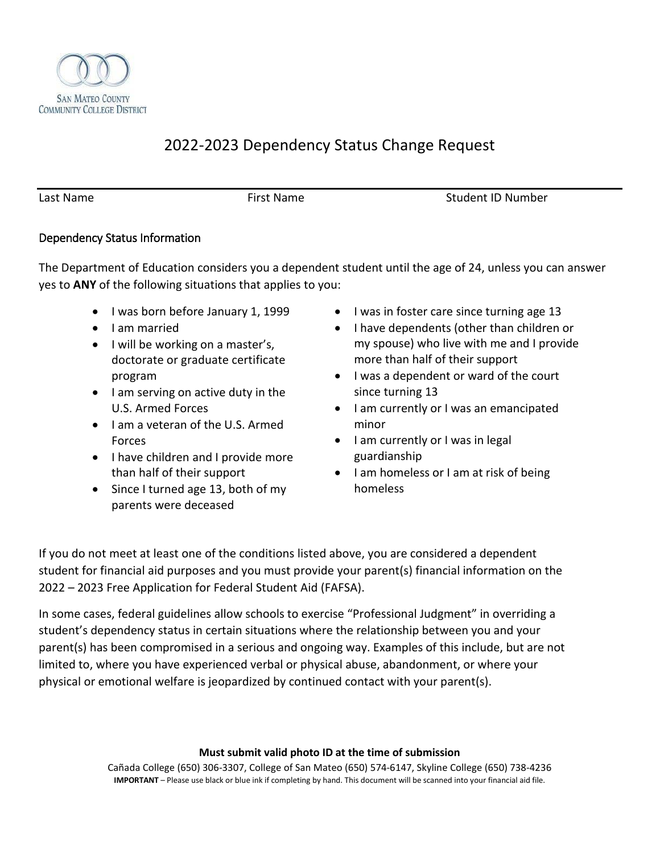

# 2022-2023 Dependency Status Change Request

Last Name The Research Control of First Name Control of Student ID Number

# Dependency Status Information

The Department of Education considers you a dependent student until the age of 24, unless you can answer yes to **ANY** of the following situations that applies to you:

- I was born before January 1, 1999
- I am married
- I will be working on a master's, doctorate or graduate certificate program
- I am serving on active duty in the U.S. Armed Forces
- I am a veteran of the U.S. Armed Forces
- I have children and I provide more than half of their support
- Since I turned age 13, both of my parents were deceased
- I was in foster care since turning age 13
- I have dependents (other than children or my spouse) who live with me and I provide more than half of their support
- I was a dependent or ward of the court since turning 13
- I am currently or I was an emancipated minor
- I am currently or I was in legal guardianship
- I am homeless or I am at risk of being homeless

If you do not meet at least one of the conditions listed above, you are considered a dependent student for financial aid purposes and you must provide your parent(s) financial information on the 2022 – 2023 Free Application for Federal Student Aid (FAFSA).

In some cases, federal guidelines allow schools to exercise "Professional Judgment" in overriding a student's dependency status in certain situations where the relationship between you and your parent(s) has been compromised in a serious and ongoing way. Examples of this include, but are not limited to, where you have experienced verbal or physical abuse, abandonment, or where your physical or emotional welfare is jeopardized by continued contact with your parent(s).

### **Must submit valid photo ID at the time of submission**

Cañada College (650) 306-3307, College of San Mateo (650) 574-6147, Skyline College (650) 738-4236 **IMPORTANT** – Please use black or blue ink if completing by hand. This document will be scanned into your financial aid file.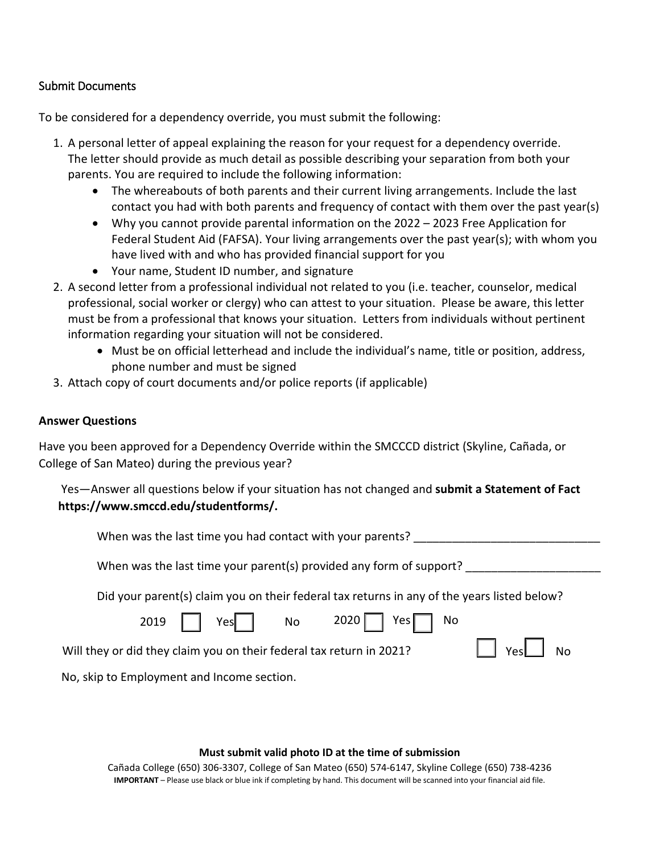# Submit Documents

To be considered for a dependency override, you must submit the following:

- 1. A personal letter of appeal explaining the reason for your request for a dependency override. The letter should provide as much detail as possible describing your separation from both your parents. You are required to include the following information:
	- The whereabouts of both parents and their current living arrangements. Include the last contact you had with both parents and frequency of contact with them over the past year(s)
	- Why you cannot provide parental information on the 2022 2023 Free Application for Federal Student Aid (FAFSA). Your living arrangements over the past year(s); with whom you have lived with and who has provided financial support for you
	- Your name, Student ID number, and signature
- 2. A second letter from a professional individual not related to you (i.e. teacher, counselor, medical professional, social worker or clergy) who can attest to your situation. Please be aware, this letter must be from a professional that knows your situation. Letters from individuals without pertinent information regarding your situation will not be considered.
	- Must be on official letterhead and include the individual's name, title or position, address, phone number and must be signed
- 3. Attach copy of court documents and/or police reports (if applicable)

# **Answer Questions**

Have you been approved for a Dependency Override within the SMCCCD district (Skyline, Cañada, or College of San Mateo) during the previous year?

Yes—Answer all questions below if your situation has not changed and **submit a Statement of Fact https://www.smccd.edu/studentforms/.** 

| When was the last time you had contact with your parents? |  |
|-----------------------------------------------------------|--|
|                                                           |  |

When was the last time your parent(s) provided any form of support?

Did your parent(s) claim you on their federal tax returns in any of the years listed below?

|                                                                      |  | 2019   Yes No 2020 Yes No |                      |
|----------------------------------------------------------------------|--|---------------------------|----------------------|
| Will they or did they claim you on their federal tax return in 2021? |  |                           | $\Box$ Yes $\Box$ No |
| No, skip to Employment and Income section.                           |  |                           |                      |

### **Must submit valid photo ID at the time of submission**

Cañada College (650) 306-3307, College of San Mateo (650) 574-6147, Skyline College (650) 738-4236 **IMPORTANT** – Please use black or blue ink if completing by hand. This document will be scanned into your financial aid file.